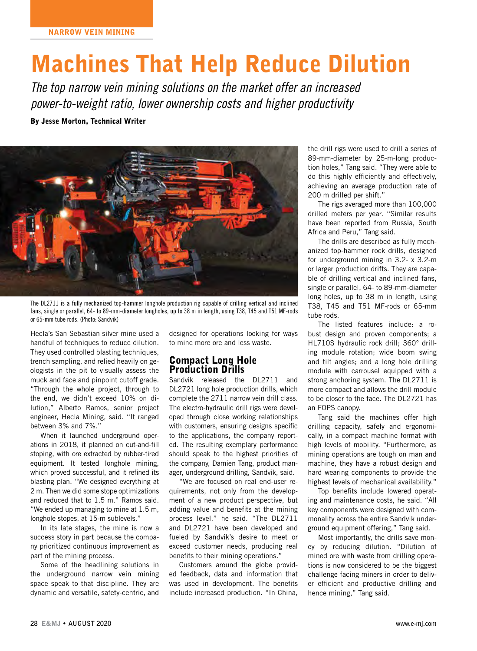# Machines That Help Reduce Dilution

*The top narrow vein mining solutions on the market offer an increased power-to-weight ratio, lower ownership costs and higher productivity*

By Jesse Morton, Technical Writer



The DL2711 is a fully mechanized top-hammer longhole production rig capable of drilling vertical and inclined fans, single or parallel, 64- to 89-mm-diameter longholes, up to 38 m in length, using T38, T45 and T51 MF-rods or 65-mm tube rods. (Photo: Sandvik)

Hecla's San Sebastian silver mine used a handful of techniques to reduce dilution. They used controlled blasting techniques, trench sampling, and relied heavily on geologists in the pit to visually assess the muck and face and pinpoint cutoff grade. "Through the whole project, through to the end, we didn't exceed 10% on dilution," Alberto Ramos, senior project engineer, Hecla Mining, said. "It ranged between 3% and 7%."

When it launched underground operations in 2018, it planned on cut-and-fill stoping, with ore extracted by rubber-tired equipment. It tested longhole mining, which proved successful, and it refined its blasting plan. "We designed everything at 2 m. Then we did some stope optimizations and reduced that to 1.5 m," Ramos said. "We ended up managing to mine at 1.5 m, longhole stopes, at 15-m sublevels."

In its late stages, the mine is now a success story in part because the company prioritized continuous improvement as part of the mining process.

Some of the headlining solutions in the underground narrow vein mining space speak to that discipline. They are dynamic and versatile, safety-centric, and

designed for operations looking for ways to mine more ore and less waste.

### Compact Long Hole Production Drills

Sandvik released the DL2711 and DL2721 long hole production drills, which complete the 2711 narrow vein drill class. The electro-hydraulic drill rigs were developed through close working relationships with customers, ensuring designs specific to the applications, the company reported. The resulting exemplary performance should speak to the highest priorities of the company, Damien Tang, product manager, underground drilling, Sandvik, said.

"We are focused on real end-user requirements, not only from the development of a new product perspective, but adding value and benefits at the mining process level," he said. "The DL2711 and DL2721 have been developed and fueled by Sandvik's desire to meet or exceed customer needs, producing real benefits to their mining operations."

Customers around the globe provided feedback, data and information that was used in development. The benefits include increased production. "In China,

the drill rigs were used to drill a series of 89-mm-diameter by 25-m-long production holes," Tang said. "They were able to do this highly efficiently and effectively, achieving an average production rate of 200 m drilled per shift."

The rigs averaged more than 100,000 drilled meters per year. "Similar results have been reported from Russia, South Africa and Peru," Tang said.

The drills are described as fully mechanized top-hammer rock drills, designed for underground mining in 3.2- x 3.2-m or larger production drifts. They are capable of drilling vertical and inclined fans, single or parallel, 64- to 89-mm-diameter long holes, up to 38 m in length, using T38, T45 and T51 MF-rods or 65-mm tube rods.

The listed features include: a robust design and proven components; a HL710S hydraulic rock drill; 360° drilling module rotation; wide boom swing and tilt angles; and a long hole drilling module with carrousel equipped with a strong anchoring system. The DL2711 is more compact and allows the drill module to be closer to the face. The DL2721 has an FOPS canopy.

Tang said the machines offer high drilling capacity, safely and ergonomically, in a compact machine format with high levels of mobility. "Furthermore, as mining operations are tough on man and machine, they have a robust design and hard wearing components to provide the highest levels of mechanical availability."

Top benefits include lowered operating and maintenance costs, he said. "All key components were designed with commonality across the entire Sandvik underground equipment offering," Tang said.

Most importantly, the drills save money by reducing dilution. "Dilution of mined ore with waste from drilling operations is now considered to be the biggest challenge facing miners in order to deliver efficient and productive drilling and hence mining," Tang said.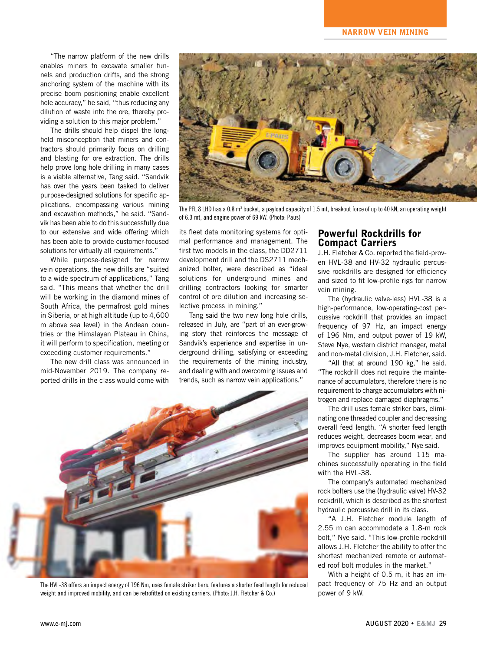"The narrow platform of the new drills enables miners to excavate smaller tunnels and production drifts, and the strong anchoring system of the machine with its precise boom positioning enable excellent hole accuracy," he said, "thus reducing any dilution of waste into the ore, thereby providing a solution to this major problem."

The drills should help dispel the longheld misconception that miners and contractors should primarily focus on drilling and blasting for ore extraction. The drills help prove long hole drilling in many cases is a viable alternative, Tang said. "Sandvik has over the years been tasked to deliver purpose-designed solutions for specific applications, encompassing various mining and excavation methods," he said. "Sandvik has been able to do this successfully due to our extensive and wide offering which has been able to provide customer-focused solutions for virtually all requirements."

While purpose-designed for narrow vein operations, the new drills are "suited to a wide spectrum of applications," Tang said. "This means that whether the drill will be working in the diamond mines of South Africa, the permafrost gold mines in Siberia, or at high altitude (up to 4,600 m above sea level) in the Andean countries or the Himalayan Plateau in China, it will perform to specification, meeting or exceeding customer requirements."

The new drill class was announced in mid-November 2019. The company reported drills in the class would come with



The PFL 8 LHD has a 0.8 m<sup>3</sup> bucket, a payload capacity of 1.5 mt, breakout force of up to 40 kN, an operating weight of 6.3 mt, and engine power of 69 kW. (Photo: Paus)

its fleet data monitoring systems for optimal performance and management. The first two models in the class, the DD2711 development drill and the DS2711 mechanized bolter, were described as "ideal solutions for underground mines and drilling contractors looking for smarter control of ore dilution and increasing selective process in mining."

Tang said the two new long hole drills, released in July, are "part of an ever-growing story that reinforces the message of Sandvik's experience and expertise in underground drilling, satisfying or exceeding the requirements of the mining industry, and dealing with and overcoming issues and trends, such as narrow vein applications."



The HVL-38 offers an impact energy of 196 Nm, uses female striker bars, features a shorter feed length for reduced weight and improved mobility, and can be retrofitted on existing carriers. (Photo: J.H. Fletcher & Co.)

## Powerful Rockdrills for Compact Carriers

J.H. Fletcher & Co. reported the field-proven HVL-38 and HV-32 hydraulic percussive rockdrills are designed for efficiency and sized to fit low-profile rigs for narrow vein mining.

The (hydraulic valve-less) HVL-38 is a high-performance, low-operating-cost percussive rockdrill that provides an impact frequency of 97 Hz, an impact energy of 196 Nm, and output power of 19 kW, Steve Nye, western district manager, metal and non-metal division, J.H. Fletcher, said.

"All that at around 190 kg," he said. "The rockdrill does not require the maintenance of accumulators, therefore there is no requirement to charge accumulators with nitrogen and replace damaged diaphragms."

The drill uses female striker bars, eliminating one threaded coupler and decreasing overall feed length. "A shorter feed length reduces weight, decreases boom wear, and improves equipment mobility," Nye said.

The supplier has around 115 machines successfully operating in the field with the HVL-38.

The company's automated mechanized rock bolters use the (hydraulic valve) HV-32 rockdrill, which is described as the shortest hydraulic percussive drill in its class.

"A J.H. Fletcher module length of 2.55 m can accommodate a 1.8-m rock bolt," Nye said. "This low-profile rockdrill allows J.H. Fletcher the ability to offer the shortest mechanized remote or automated roof bolt modules in the market."

With a height of 0.5 m, it has an impact frequency of 75 Hz and an output power of 9 kW.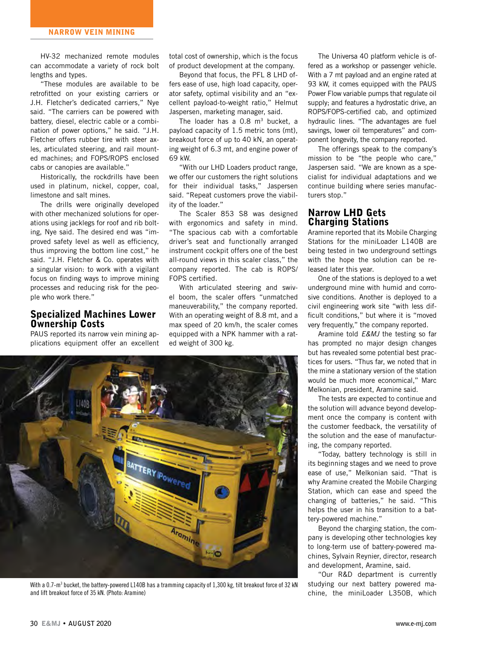HV-32 mechanized remote modules can accommodate a variety of rock bolt lengths and types.

"These modules are available to be retrofitted on your existing carriers or J.H. Fletcher's dedicated carriers," Nye said. "The carriers can be powered with battery, diesel, electric cable or a combination of power options," he said. "J.H. Fletcher offers rubber tire with steer axles, articulated steering, and rail mounted machines; and FOPS/ROPS enclosed cabs or canopies are available."

Historically, the rockdrills have been used in platinum, nickel, copper, coal, limestone and salt mines.

The drills were originally developed with other mechanized solutions for operations using jacklegs for roof and rib bolting, Nye said. The desired end was "improved safety level as well as efficiency, thus improving the bottom line cost," he said. "J.H. Fletcher & Co. operates with a singular vision: to work with a vigilant focus on finding ways to improve mining processes and reducing risk for the people who work there."

#### Specialized Machines Lower Ownership Costs

PAUS reported its narrow vein mining applications equipment offer an excellent total cost of ownership, which is the focus of product development at the company.

Beyond that focus, the PFL 8 LHD offers ease of use, high load capacity, operator safety, optimal visibility and an "excellent payload-to-weight ratio," Helmut Jaspersen, marketing manager, said.

The loader has a  $0.8$  m<sup>3</sup> bucket, a payload capacity of 1.5 metric tons (mt), breakout force of up to 40 kN, an operating weight of 6.3 mt, and engine power of 69 kW.

"With our LHD Loaders product range, we offer our customers the right solutions for their individual tasks," Jaspersen said. "Repeat customers prove the viability of the loader."

The Scaler 853 S8 was designed with ergonomics and safety in mind. "The spacious cab with a comfortable driver's seat and functionally arranged instrument cockpit offers one of the best all-round views in this scaler class," the company reported. The cab is ROPS/ FOPS certified.

With articulated steering and swivel boom, the scaler offers "unmatched maneuverability," the company reported. With an operating weight of 8.8 mt, and a max speed of 20 km/h, the scaler comes equipped with a NPK hammer with a rated weight of 300 kg.



With a 0.7-m<sup>3</sup> bucket, the battery-powered L140B has a tramming capacity of 1,300 kg, tilt breakout force of 32 kN and lift breakout force of 35 kN. (Photo: Aramine)

The Universa 40 platform vehicle is offered as a workshop or passenger vehicle. With a 7 mt payload and an engine rated at 93 kW, it comes equipped with the PAUS Power Flow variable pumps that regulate oil supply; and features a hydrostatic drive, an ROPS/FOPS-certified cab, and optimized hydraulic lines. "The advantages are fuel savings, lower oil temperatures" and component longevity, the company reported.

The offerings speak to the company's mission to be "the people who care," Jaspersen said. "We are known as a specialist for individual adaptations and we continue building where series manufacturers stop."

#### Narrow LHD Gets Charging Stations

Aramine reported that its Mobile Charging Stations for the miniLoader L140B are being tested in two underground settings with the hope the solution can be released later this year.

One of the stations is deployed to a wet underground mine with humid and corrosive conditions. Another is deployed to a civil engineering work site "with less difficult conditions," but where it is "moved very frequently," the company reported.

Aramine told *E&MJ* the testing so far has prompted no major design changes but has revealed some potential best practices for users. "Thus far, we noted that in the mine a stationary version of the station would be much more economical," Marc Melkonian, president, Aramine said.

The tests are expected to continue and the solution will advance beyond development once the company is content with the customer feedback, the versatility of the solution and the ease of manufacturing, the company reported.

"Today, battery technology is still in its beginning stages and we need to prove ease of use," Melkonian said. "That is why Aramine created the Mobile Charging Station, which can ease and speed the changing of batteries," he said. "This helps the user in his transition to a battery-powered machine."

Beyond the charging station, the company is developing other technologies key to long-term use of battery-powered machines, Sylvain Reynier, director, research and development, Aramine, said.

"Our R&D department is currently studying our next battery powered machine, the miniLoader L350B, which